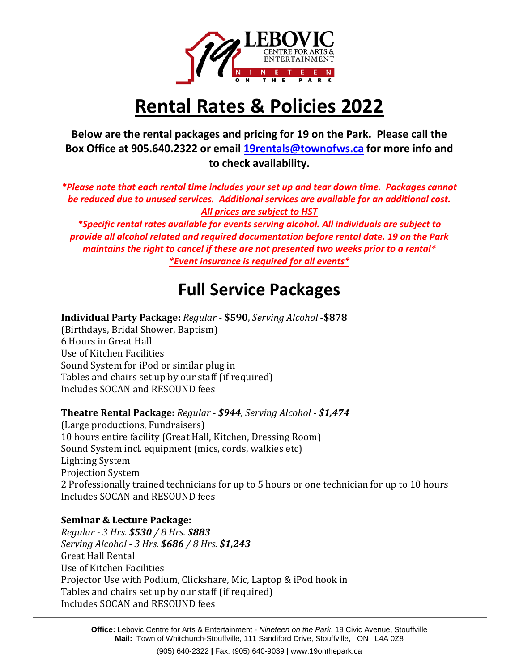

# **Rental Rates & Policies 2022**

**Below are the rental packages and pricing for 19 on the Park. Please call the Box Office at 905.640.2322 or email [19rentals@townofws.ca](mailto:19rentals@townofws.ca) for more info and to check availability.**

*\*Please note that each rental time includes your set up and tear down time. Packages cannot be reduced due to unused services. Additional services are available for an additional cost. All prices are subject to HST*

*\*Specific rental rates available for events serving alcohol. All individuals are subject to provide all alcohol related and required documentation before rental date. 19 on the Park maintains the right to cancel if these are not presented two weeks prior to a rental\* \*Event insurance is required for all events\**

### **Full Service Packages**

**Individual Party Package:** *Regular* - **\$590**, *Serving Alcohol* -**\$878**

(Birthdays, Bridal Shower, Baptism) 6 Hours in Great Hall Use of Kitchen Facilities Sound System for iPod or similar plug in Tables and chairs set up by our staff (if required) Includes SOCAN and RESOUND fees

#### **Theatre Rental Package:** *Regular - \$944, Serving Alcohol - \$1,474*

(Large productions, Fundraisers) 10 hours entire facility (Great Hall, Kitchen, Dressing Room) Sound System incl. equipment (mics, cords, walkies etc) Lighting System Projection System 2 Professionally trained technicians for up to 5 hours or one technician for up to 10 hours Includes SOCAN and RESOUND fees

#### **Seminar & Lecture Package:**

*Regular - 3 Hrs. \$530 / 8 Hrs. \$883 Serving Alcohol - 3 Hrs. \$686 / 8 Hrs. \$1,243* Great Hall Rental Use of Kitchen Facilities Projector Use with Podium, Clickshare, Mic, Laptop & iPod hook in Tables and chairs set up by our staff (if required) Includes SOCAN and RESOUND fees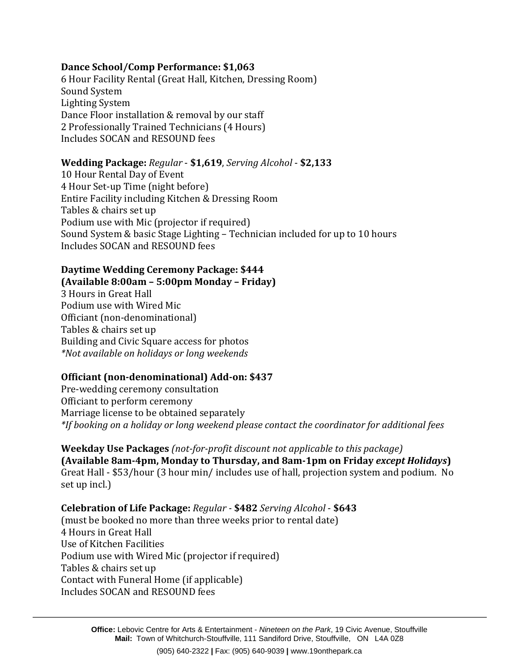#### **Dance School/Comp Performance: \$1,063**

6 Hour Facility Rental (Great Hall, Kitchen, Dressing Room) Sound System Lighting System Dance Floor installation & removal by our staff 2 Professionally Trained Technicians (4 Hours) Includes SOCAN and RESOUND fees

#### **Wedding Package:** *Regular* - **\$1,619**, *Serving Alcohol* - **\$2,133**

10 Hour Rental Day of Event 4 Hour Set-up Time (night before) Entire Facility including Kitchen & Dressing Room Tables & chairs set up Podium use with Mic (projector if required) Sound System & basic Stage Lighting – Technician included for up to 10 hours Includes SOCAN and RESOUND fees

#### **Daytime Wedding Ceremony Package: \$444**

**(Available 8:00am – 5:00pm Monday – Friday)** 3 Hours in Great Hall Podium use with Wired Mic Officiant (non-denominational) Tables & chairs set up Building and Civic Square access for photos *\*Not available on holidays or long weekends*

#### **Officiant (non-denominational) Add-on: \$437**

Pre-wedding ceremony consultation Officiant to perform ceremony Marriage license to be obtained separately *\*If booking on a holiday or long weekend please contact the coordinator for additional fees* 

**Weekday Use Packages** *(not-for-profit discount not applicable to this package)* **(Available 8am-4pm, Monday to Thursday, and 8am-1pm on Friday** *except Holidays***)** Great Hall - \$53/hour (3 hour min/ includes use of hall, projection system and podium. No set up incl.)

**Celebration of Life Package:** *Regular -* **\$482** *Serving Alcohol* - **\$643** (must be booked no more than three weeks prior to rental date) 4 Hours in Great Hall Use of Kitchen Facilities Podium use with Wired Mic (projector if required) Tables & chairs set up Contact with Funeral Home (if applicable) Includes SOCAN and RESOUND fees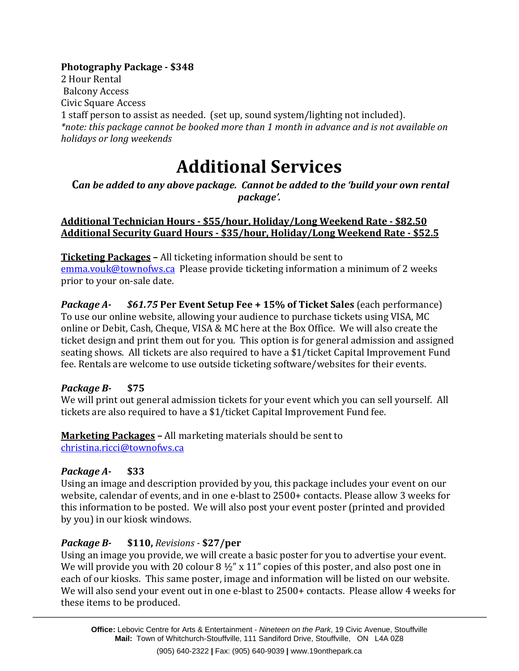#### **Photography Package - \$348**

2 Hour Rental Balcony Access Civic Square Access 1 staff person to assist as needed. (set up, sound system/lighting not included). *\*note: this package cannot be booked more than 1 month in advance and is not available on holidays or long weekends*

## **Additional Services**

#### **C***an be added to any above package. Cannot be added to the 'build your own rental package'.*

#### **Additional Technician Hours - \$55/hour, Holiday/Long Weekend Rate - \$82.50 Additional Security Guard Hours - \$35/hour, Holiday/Long Weekend Rate - \$52.5**

**Ticketing Packages –** All ticketing information should be sent to [emma.vouk@townofws.ca](mailto:emma.vouk@townofws.ca) Please provide ticketing information a minimum of 2 weeks prior to your on-sale date.

*Package A- \$61.75* **Per Event Setup Fee + 15% of Ticket Sales** (each performance) To use our online website, allowing your audience to purchase tickets using VISA, MC online or Debit, Cash, Cheque, VISA & MC here at the Box Office. We will also create the ticket design and print them out for you. This option is for general admission and assigned seating shows. All tickets are also required to have a \$1/ticket Capital Improvement Fund fee. Rentals are welcome to use outside ticketing software/websites for their events.

#### *Package B-* **\$75**

We will print out general admission tickets for your event which you can sell yourself. All tickets are also required to have a \$1/ticket Capital Improvement Fund fee.

**Marketing Packages –** All marketing materials should be sent to [christina.ricci@townofws.ca](mailto:christina.ricci@townofws.ca)

#### *Package A-* **\$33**

Using an image and description provided by you, this package includes your event on our website, calendar of events, and in one e-blast to 2500+ contacts. Please allow 3 weeks for this information to be posted. We will also post your event poster (printed and provided by you) in our kiosk windows.

#### *Package B-* **\$110,** *Revisions -* **\$27/per**

Using an image you provide, we will create a basic poster for you to advertise your event. We will provide you with 20 colour  $8\frac{1}{2}$ " x 11" copies of this poster, and also post one in each of our kiosks. This same poster, image and information will be listed on our website. We will also send your event out in one e-blast to 2500+ contacts. Please allow 4 weeks for these items to be produced.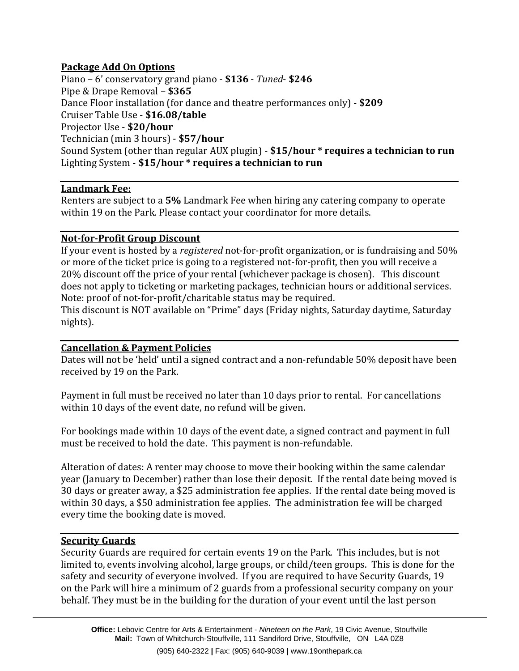#### **Package Add On Options**

Piano – 6' conservatory grand piano - **\$136** - *Tuned*- **\$246** Pipe & Drape Removal – **\$365** Dance Floor installation (for dance and theatre performances only) - **\$209** Cruiser Table Use - **\$16.08/table** Projector Use - **\$20/hour** Technician (min 3 hours) - **\$57/hour** Sound System (other than regular AUX plugin) - **\$15/hour \* requires a technician to run** Lighting System - **\$15/hour \* requires a technician to run**

#### **Landmark Fee:**

Renters are subject to a **5%** Landmark Fee when hiring any catering company to operate within 19 on the Park. Please contact your coordinator for more details.

#### **Not-for-Profit Group Discount**

If your event is hosted by a *registered* not-for-profit organization, or is fundraising and 50% or more of the ticket price is going to a registered not-for-profit, then you will receive a 20% discount off the price of your rental (whichever package is chosen). This discount does not apply to ticketing or marketing packages, technician hours or additional services. Note: proof of not-for-profit/charitable status may be required.

This discount is NOT available on "Prime" days (Friday nights, Saturday daytime, Saturday nights).

#### **Cancellation & Payment Policies**

Dates will not be 'held' until a signed contract and a non-refundable 50% deposit have been received by 19 on the Park.

Payment in full must be received no later than 10 days prior to rental. For cancellations within 10 days of the event date, no refund will be given.

For bookings made within 10 days of the event date, a signed contract and payment in full must be received to hold the date. This payment is non-refundable.

Alteration of dates: A renter may choose to move their booking within the same calendar year (January to December) rather than lose their deposit. If the rental date being moved is 30 days or greater away, a \$25 administration fee applies. If the rental date being moved is within 30 days, a \$50 administration fee applies. The administration fee will be charged every time the booking date is moved.

#### **Security Guards**

Security Guards are required for certain events 19 on the Park. This includes, but is not limited to, events involving alcohol, large groups, or child/teen groups. This is done for the safety and security of everyone involved. If you are required to have Security Guards, 19 on the Park will hire a minimum of 2 guards from a professional security company on your behalf. They must be in the building for the duration of your event until the last person